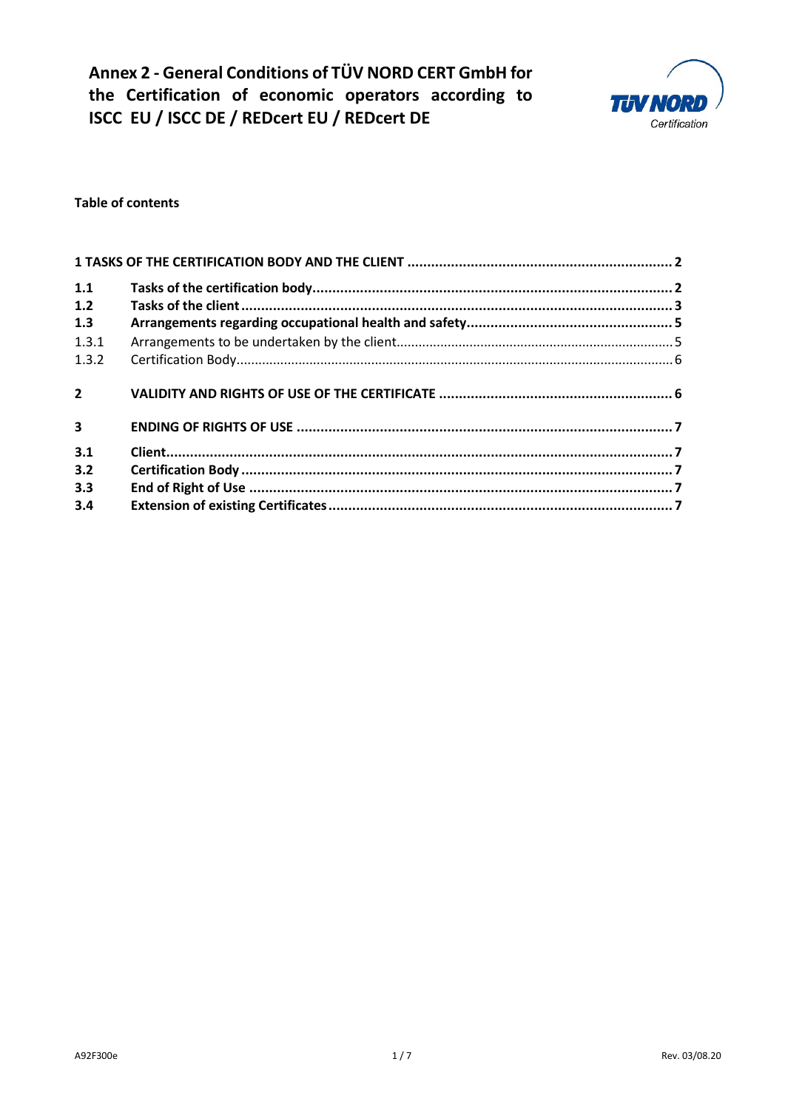**Annex 2 - General Conditions of TÜV NORD CERT GmbH for the Certification of economic operators according to ISCC EU / ISCC DE / REDcert EU / REDcert DE** 



### **Table of contents**

| 1.1<br>1.2              |  |  |
|-------------------------|--|--|
| 1.3                     |  |  |
| 1.3.1                   |  |  |
| 1.3.2                   |  |  |
| $\overline{2}$          |  |  |
| $\overline{\mathbf{3}}$ |  |  |
| 3.1                     |  |  |
| 3.2                     |  |  |
| 3.3                     |  |  |
| 3.4                     |  |  |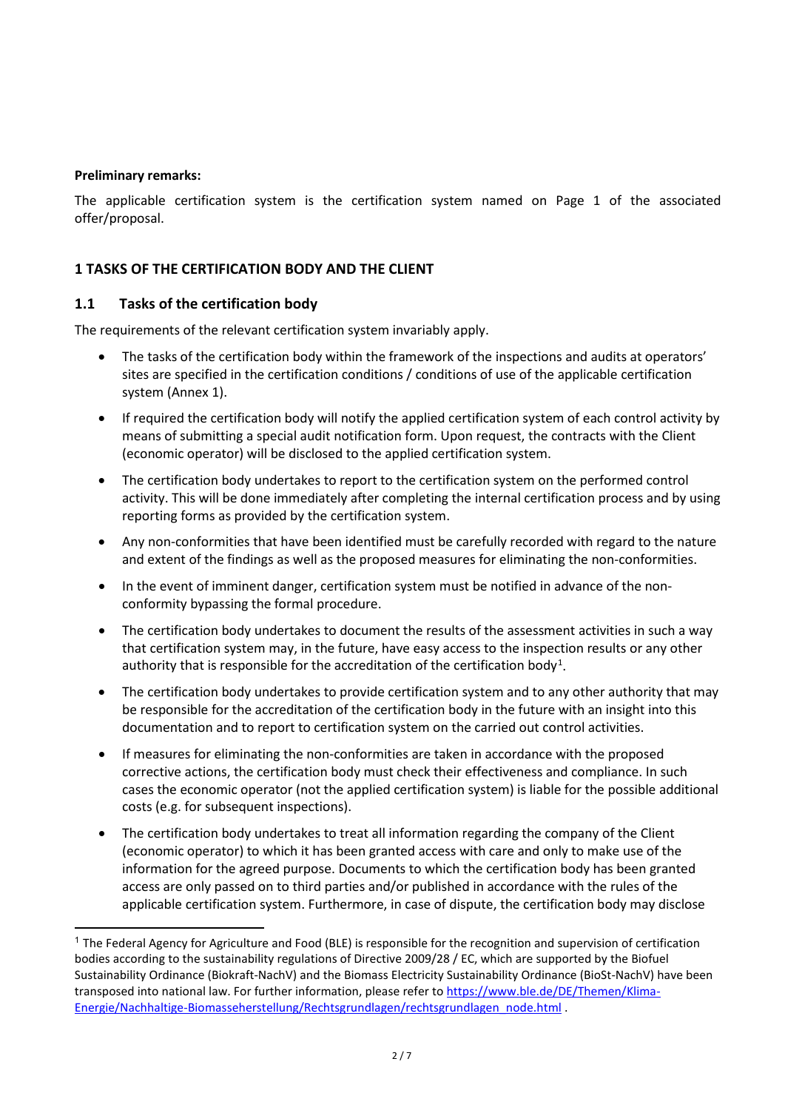#### **Preliminary remarks:**

The applicable certification system is the certification system named on Page 1 of the associated offer/proposal.

## **1 TASKS OF THE CERTIFICATION BODY AND THE CLIENT**

#### **1.1 Tasks of the certification body**

The requirements of the relevant certification system invariably apply.

- The tasks of the certification body within the framework of the inspections and audits at operators' sites are specified in the certification conditions / conditions of use of the applicable certification system (Annex 1).
- If required the certification body will notify the applied certification system of each control activity by means of submitting a special audit notification form. Upon request, the contracts with the Client (economic operator) will be disclosed to the applied certification system.
- The certification body undertakes to report to the certification system on the performed control activity. This will be done immediately after completing the internal certification process and by using reporting forms as provided by the certification system.
- Any non-conformities that have been identified must be carefully recorded with regard to the nature and extent of the findings as well as the proposed measures for eliminating the non-conformities.
- In the event of imminent danger, certification system must be notified in advance of the nonconformity bypassing the formal procedure.
- The certification body undertakes to document the results of the assessment activities in such a way that certification system may, in the future, have easy access to the inspection results or any other authority that is responsible for the accreditation of the certification body<sup>[1](#page-1-0)</sup>.
- The certification body undertakes to provide certification system and to any other authority that may be responsible for the accreditation of the certification body in the future with an insight into this documentation and to report to certification system on the carried out control activities.
- If measures for eliminating the non-conformities are taken in accordance with the proposed corrective actions, the certification body must check their effectiveness and compliance. In such cases the economic operator (not the applied certification system) is liable for the possible additional costs (e.g. for subsequent inspections).
- The certification body undertakes to treat all information regarding the company of the Client (economic operator) to which it has been granted access with care and only to make use of the information for the agreed purpose. Documents to which the certification body has been granted access are only passed on to third parties and/or published in accordance with the rules of the applicable certification system. Furthermore, in case of dispute, the certification body may disclose

<span id="page-1-0"></span> $1$  The Federal Agency for Agriculture and Food (BLE) is responsible for the recognition and supervision of certification bodies according to the sustainability regulations of Directive 2009/28 / EC, which are supported by the Biofuel Sustainability Ordinance (Biokraft-NachV) and the Biomass Electricity Sustainability Ordinance (BioSt-NachV) have been transposed into national law. For further information, please refer to [https://www.ble.de/DE/Themen/Klima-](https://www.ble.de/DE/Themen/Klima-Energie/Nachhaltige-Biomasseherstellung/Rechtsgrundlagen/rechtsgrundlagen_node.html)[Energie/Nachhaltige-Biomasseherstellung/Rechtsgrundlagen/rechtsgrundlagen\\_node.html](https://www.ble.de/DE/Themen/Klima-Energie/Nachhaltige-Biomasseherstellung/Rechtsgrundlagen/rechtsgrundlagen_node.html) .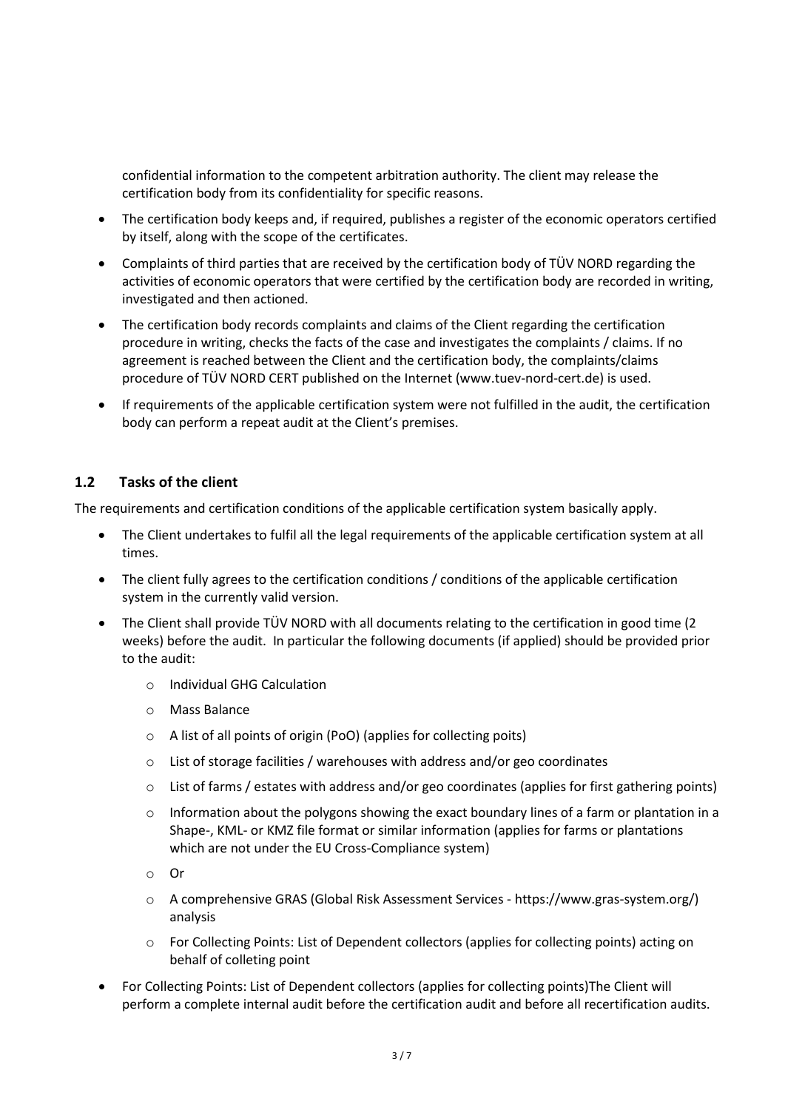confidential information to the competent arbitration authority. The client may release the certification body from its confidentiality for specific reasons.

- The certification body keeps and, if required, publishes a register of the economic operators certified by itself, along with the scope of the certificates.
- Complaints of third parties that are received by the certification body of TÜV NORD regarding the activities of economic operators that were certified by the certification body are recorded in writing, investigated and then actioned.
- The certification body records complaints and claims of the Client regarding the certification procedure in writing, checks the facts of the case and investigates the complaints / claims. If no agreement is reached between the Client and the certification body, the complaints/claims procedure of TÜV NORD CERT published on the Internet (www.tuev-nord-cert.de) is used.
- If requirements of the applicable certification system were not fulfilled in the audit, the certification body can perform a repeat audit at the Client's premises.

## **1.2 Tasks of the client**

The requirements and certification conditions of the applicable certification system basically apply.

- The Client undertakes to fulfil all the legal requirements of the applicable certification system at all times.
- The client fully agrees to the certification conditions / conditions of the applicable certification system in the currently valid version.
- The Client shall provide TÜV NORD with all documents relating to the certification in good time (2 weeks) before the audit. In particular the following documents (if applied) should be provided prior to the audit:
	- o Individual GHG Calculation
	- o Mass Balance
	- o A list of all points of origin (PoO) (applies for collecting poits)
	- o List of storage facilities / warehouses with address and/or geo coordinates
	- $\circ$  List of farms / estates with address and/or geo coordinates (applies for first gathering points)
	- $\circ$  Information about the polygons showing the exact boundary lines of a farm or plantation in a Shape-, KML- or KMZ file format or similar information (applies for farms or plantations which are not under the EU Cross-Compliance system)
	- o Or
	- o A comprehensive GRAS (Global Risk Assessment Services https://www.gras-system.org/) analysis
	- $\circ$  For Collecting Points: List of Dependent collectors (applies for collecting points) acting on behalf of colleting point
- For Collecting Points: List of Dependent collectors (applies for collecting points)The Client will perform a complete internal audit before the certification audit and before all recertification audits.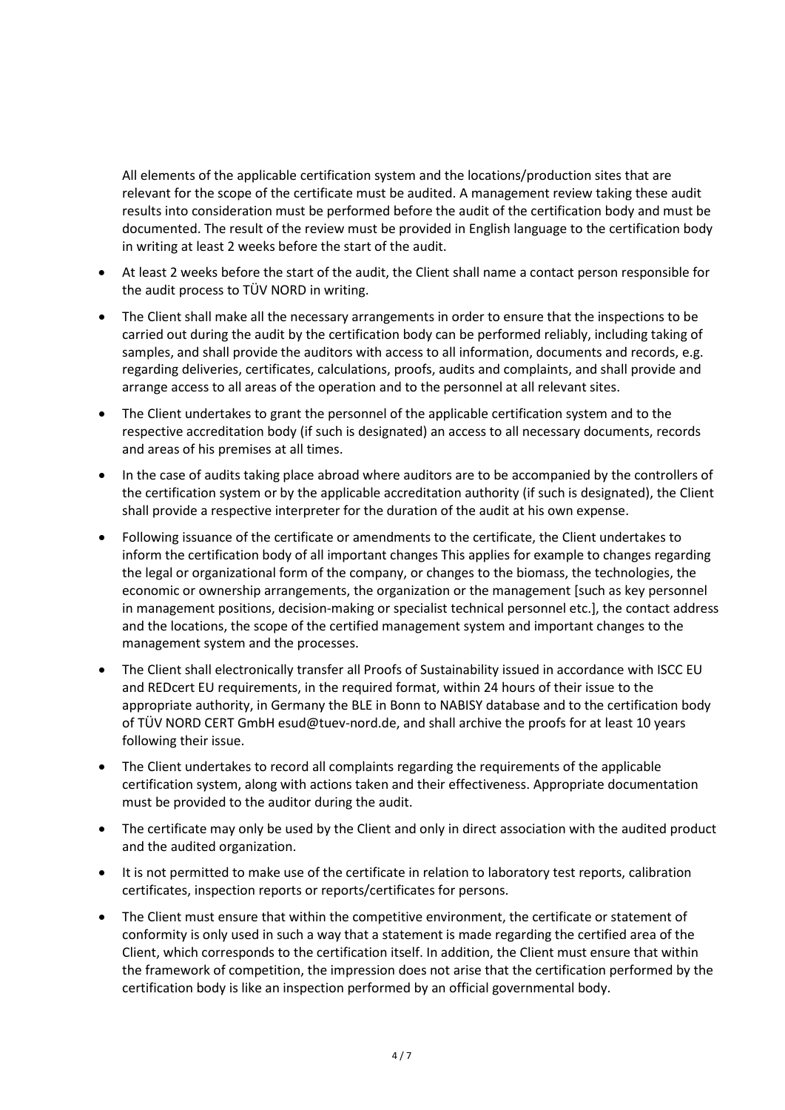All elements of the applicable certification system and the locations/production sites that are relevant for the scope of the certificate must be audited. A management review taking these audit results into consideration must be performed before the audit of the certification body and must be documented. The result of the review must be provided in English language to the certification body in writing at least 2 weeks before the start of the audit.

- At least 2 weeks before the start of the audit, the Client shall name a contact person responsible for the audit process to TÜV NORD in writing.
- The Client shall make all the necessary arrangements in order to ensure that the inspections to be carried out during the audit by the certification body can be performed reliably, including taking of samples, and shall provide the auditors with access to all information, documents and records, e.g. regarding deliveries, certificates, calculations, proofs, audits and complaints, and shall provide and arrange access to all areas of the operation and to the personnel at all relevant sites.
- The Client undertakes to grant the personnel of the applicable certification system and to the respective accreditation body (if such is designated) an access to all necessary documents, records and areas of his premises at all times.
- In the case of audits taking place abroad where auditors are to be accompanied by the controllers of the certification system or by the applicable accreditation authority (if such is designated), the Client shall provide a respective interpreter for the duration of the audit at his own expense.
- Following issuance of the certificate or amendments to the certificate, the Client undertakes to inform the certification body of all important changes This applies for example to changes regarding the legal or organizational form of the company, or changes to the biomass, the technologies, the economic or ownership arrangements, the organization or the management [such as key personnel in management positions, decision-making or specialist technical personnel etc.], the contact address and the locations, the scope of the certified management system and important changes to the management system and the processes.
- The Client shall electronically transfer all Proofs of Sustainability issued in accordance with ISCC EU and REDcert EU requirements, in the required format, within 24 hours of their issue to the appropriate authority, in Germany the BLE in Bonn to NABISY database and to the certification body of TÜV NORD CERT GmbH esud@tuev-nord.de, and shall archive the proofs for at least 10 years following their issue.
- The Client undertakes to record all complaints regarding the requirements of the applicable certification system, along with actions taken and their effectiveness. Appropriate documentation must be provided to the auditor during the audit.
- The certificate may only be used by the Client and only in direct association with the audited product and the audited organization.
- It is not permitted to make use of the certificate in relation to laboratory test reports, calibration certificates, inspection reports or reports/certificates for persons.
- The Client must ensure that within the competitive environment, the certificate or statement of conformity is only used in such a way that a statement is made regarding the certified area of the Client, which corresponds to the certification itself. In addition, the Client must ensure that within the framework of competition, the impression does not arise that the certification performed by the certification body is like an inspection performed by an official governmental body.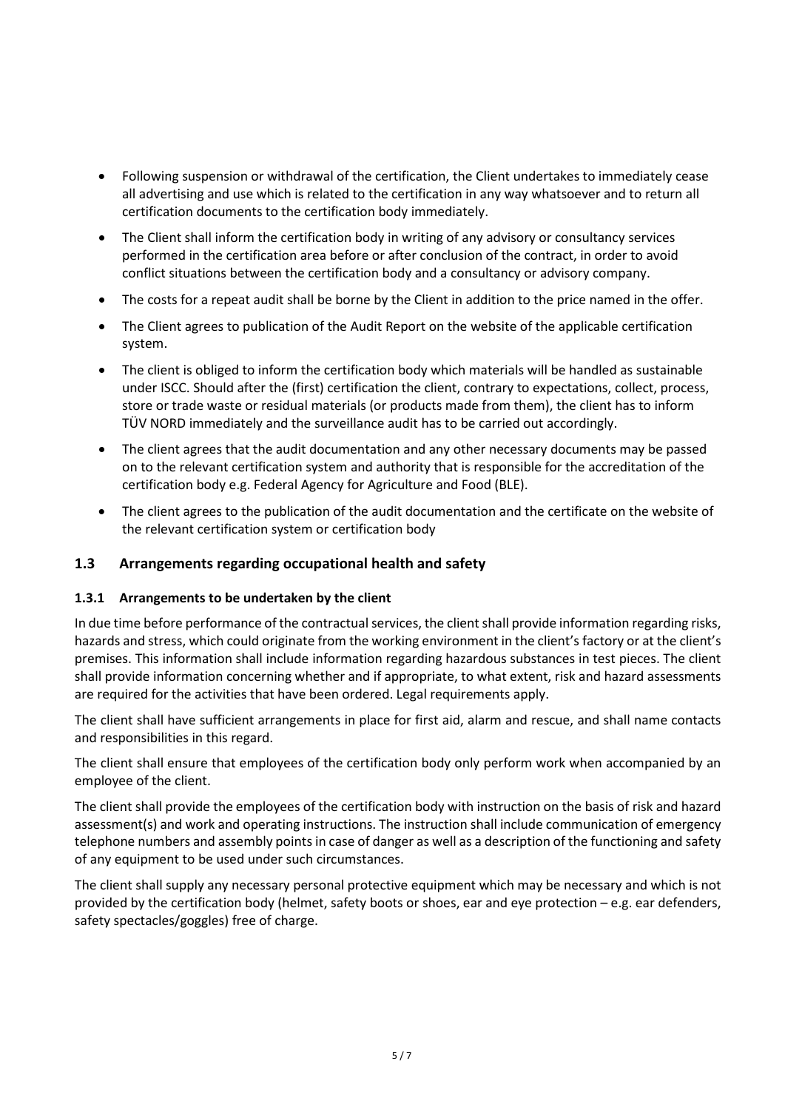- Following suspension or withdrawal of the certification, the Client undertakes to immediately cease all advertising and use which is related to the certification in any way whatsoever and to return all certification documents to the certification body immediately.
- The Client shall inform the certification body in writing of any advisory or consultancy services performed in the certification area before or after conclusion of the contract, in order to avoid conflict situations between the certification body and a consultancy or advisory company.
- The costs for a repeat audit shall be borne by the Client in addition to the price named in the offer.
- The Client agrees to publication of the Audit Report on the website of the applicable certification system.
- The client is obliged to inform the certification body which materials will be handled as sustainable under ISCC. Should after the (first) certification the client, contrary to expectations, collect, process, store or trade waste or residual materials (or products made from them), the client has to inform TÜV NORD immediately and the surveillance audit has to be carried out accordingly.
- The client agrees that the audit documentation and any other necessary documents may be passed on to the relevant certification system and authority that is responsible for the accreditation of the certification body e.g. Federal Agency for Agriculture and Food (BLE).
- The client agrees to the publication of the audit documentation and the certificate on the website of the relevant certification system or certification body

## **1.3 Arrangements regarding occupational health and safety**

#### **1.3.1 Arrangements to be undertaken by the client**

In due time before performance of the contractual services, the client shall provide information regarding risks, hazards and stress, which could originate from the working environment in the client's factory or at the client's premises. This information shall include information regarding hazardous substances in test pieces. The client shall provide information concerning whether and if appropriate, to what extent, risk and hazard assessments are required for the activities that have been ordered. Legal requirements apply.

The client shall have sufficient arrangements in place for first aid, alarm and rescue, and shall name contacts and responsibilities in this regard.

The client shall ensure that employees of the certification body only perform work when accompanied by an employee of the client.

The client shall provide the employees of the certification body with instruction on the basis of risk and hazard assessment(s) and work and operating instructions. The instruction shall include communication of emergency telephone numbers and assembly points in case of danger as well as a description of the functioning and safety of any equipment to be used under such circumstances.

The client shall supply any necessary personal protective equipment which may be necessary and which is not provided by the certification body (helmet, safety boots or shoes, ear and eye protection – e.g. ear defenders, safety spectacles/goggles) free of charge.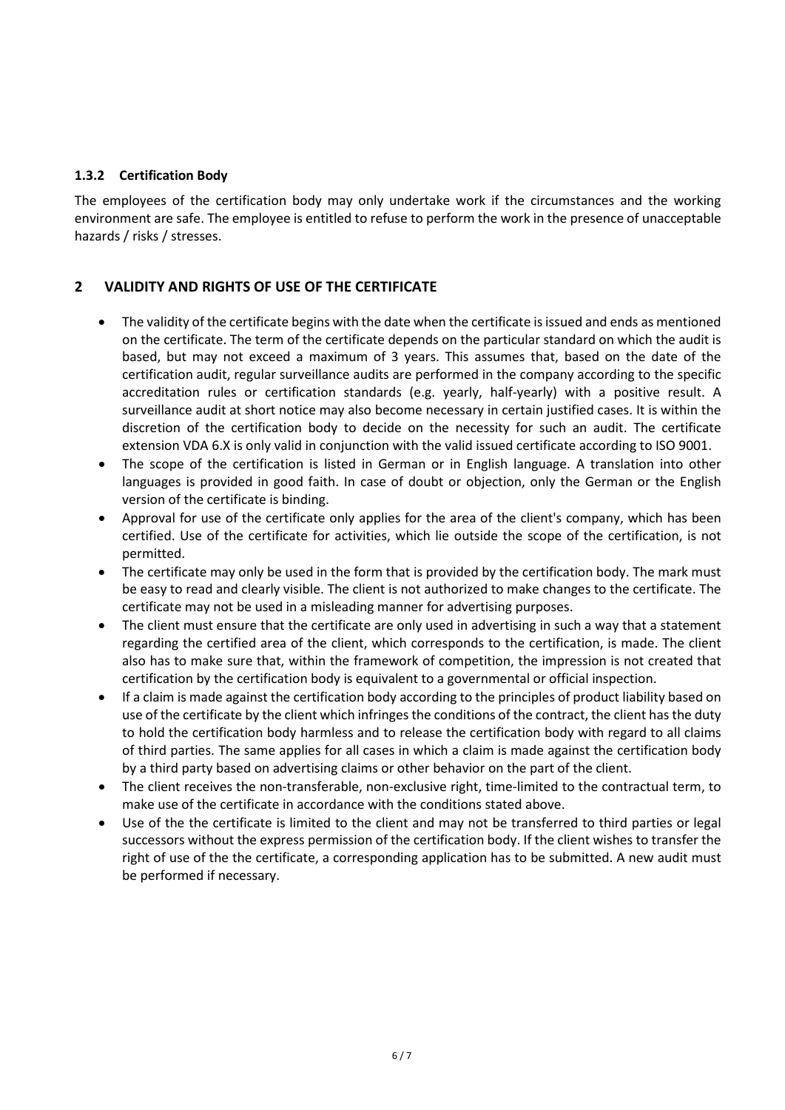#### **1.3.2 Certification Body**

The employees of the certification body may only undertake work if the circumstances and the working environment are safe. The employee is entitled to refuse to perform the work in the presence of unacceptable hazards / risks / stresses.

### **2 VALIDITY AND RIGHTS OF USE OF THE CERTIFICATE**

- The validity of the certificate begins with the date when the certificate is issued and ends as mentioned on the certificate. The term of the certificate depends on the particular standard on which the audit is based, but may not exceed a maximum of 3 years. This assumes that, based on the date of the certification audit, regular surveillance audits are performed in the company according to the specific accreditation rules or certification standards (e.g. yearly, half-yearly) with a positive result. A surveillance audit at short notice may also become necessary in certain justified cases. It is within the discretion of the certification body to decide on the necessity for such an audit. The certificate extension VDA 6.X is only valid in conjunction with the valid issued certificate according to ISO 9001.
- The scope of the certification is listed in German or in English language. A translation into other languages is provided in good faith. In case of doubt or objection, only the German or the English version of the certificate is binding.
- Approval for use of the certificate only applies for the area of the client's company, which has been certified. Use of the certificate for activities, which lie outside the scope of the certification, is not permitted.
- The certificate may only be used in the form that is provided by the certification body. The mark must be easy to read and clearly visible. The client is not authorized to make changes to the certificate. The certificate may not be used in a misleading manner for advertising purposes.
- The client must ensure that the certificate are only used in advertising in such a way that a statement regarding the certified area of the client, which corresponds to the certification, is made. The client also has to make sure that, within the framework of competition, the impression is not created that certification by the certification body is equivalent to a governmental or official inspection.
- If a claim is made against the certification body according to the principles of product liability based on use of the certificate by the client which infringes the conditions of the contract, the client has the duty to hold the certification body harmless and to release the certification body with regard to all claims of third parties. The same applies for all cases in which a claim is made against the certification body by a third party based on advertising claims or other behavior on the part of the client.
- The client receives the non-transferable, non-exclusive right, time-limited to the contractual term, to make use of the certificate in accordance with the conditions stated above.
- Use of the the certificate is limited to the client and may not be transferred to third parties or legal successors without the express permission of the certification body. If the client wishes to transfer the right of use of the the certificate, a corresponding application has to be submitted. A new audit must be performed if necessary.